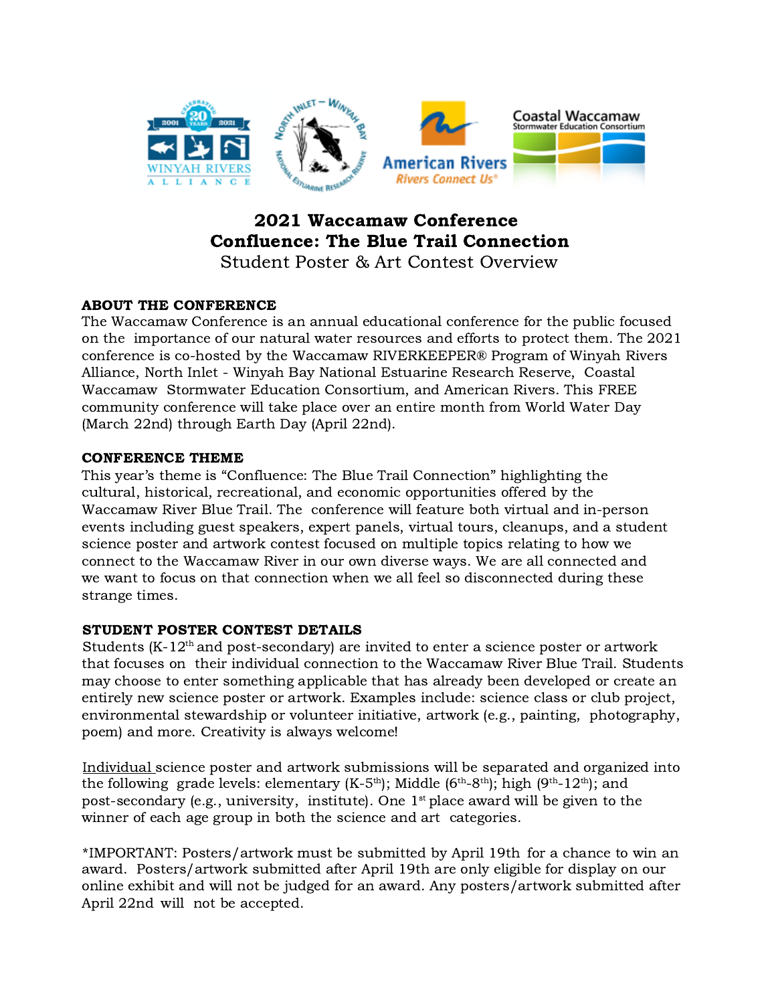

# 2021 Waccamaw Conference Confluence: The Blue Trail Connection

Student Poster & Art Contest Overview

## ABOUT THE CONFERENCE

The Waccamaw Conference is an annual educational conference for the public focused on the importance of our natural water resources and efforts to protect them. The 2021 conference is co-hosted by the Waccamaw RIVERKEEPER® Program of Winyah Rivers Alliance, North Inlet - Winyah Bay National Estuarine Research Reserve, Coastal Waccamaw Stormwater Education Consortium, and American Rivers. This FREE community conference will take place over an entire month from World Water Day (March 22nd) through Earth Day (April 22nd).

### CONFERENCE THEME

This year's theme is "Confluence: The Blue Trail Connection" highlighting the cultural, historical, recreational, and economic opportunities offered by the Waccamaw River Blue Trail. The conference will feature both virtual and in-person events including guest speakers, expert panels, virtual tours, cleanups, and a student science poster and artwork contest focused on multiple topics relating to how we connect to the Waccamaw River in our own diverse ways. We are all connected and we want to focus on that connection when we all feel so disconnected during these strange times.

## STUDENT POSTER CONTEST DETAILS

Students  $(K-12<sup>th</sup>$  and post-secondary) are invited to enter a science poster or artwork that focuses on their individual connection to the Waccamaw River Blue Trail. Students may choose to enter something applicable that has already been developed or create an entirely new science poster or artwork. Examples include: science class or club project, environmental stewardship or volunteer initiative, artwork (e.g., painting, photography, poem) and more. Creativity is always welcome!

Individual science poster and artwork submissions will be separated and organized into the following grade levels: elementary  $(K-5<sup>th</sup>)$ : Middle  $(6<sup>th</sup>-8<sup>th</sup>)$ : high  $(9<sup>th</sup>-12<sup>th</sup>)$ : and post-secondary (e.g., university, institute). One  $1<sup>st</sup>$  place award will be given to the winner of each age group in both the science and art categories.

\*IMPORTANT: Posters/artwork must be submitted by April 19th for a chance to win an award. Posters/artwork submitted after April 19th are only eligible for display on our online exhibit and will not be judged for an award. Any posters/artwork submitted after April 22nd will not be accepted.